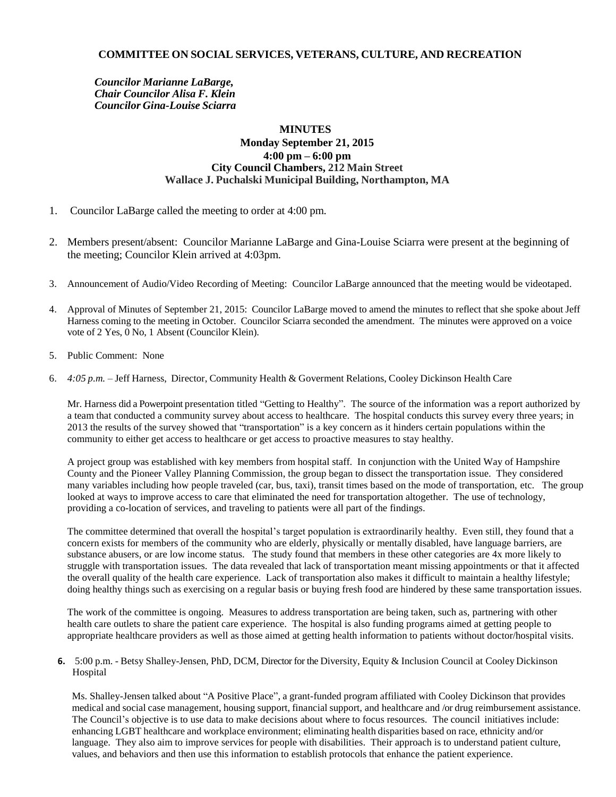## **COMMITTEE ON SOCIAL SERVICES, VETERANS, CULTURE, AND RECREATION**

*Councilor Marianne LaBarge, Chair Councilor Alisa F. Klein Councilor Gina-Louise Sciarra*

## **MINUTES Monday September 21, 2015 4:00 pm – 6:00 pm City Council Chambers, 212 Main Street Wallace J. Puchalski Municipal Building, Northampton, MA**

- 1. Councilor LaBarge called the meeting to order at 4:00 pm.
- 2. Members present/absent: Councilor Marianne LaBarge and Gina-Louise Sciarra were present at the beginning of the meeting; Councilor Klein arrived at 4:03pm.
- 3. Announcement of Audio/Video Recording of Meeting: Councilor LaBarge announced that the meeting would be videotaped.
- 4. Approval of Minutes of September 21, 2015: Councilor LaBarge moved to amend the minutes to reflect that she spoke about Jeff Harness coming to the meeting in October. Councilor Sciarra seconded the amendment. The minutes were approved on a voice vote of 2 Yes, 0 No, 1 Absent (Councilor Klein).
- 5. Public Comment: None
- 6. *4:05 p.m.* Jeff Harness, Director, Community Health & Goverment Relations, Cooley Dickinson Health Care

Mr. Harness did a Powerpoint presentation titled "Getting to Healthy". The source of the information was a report authorized by a team that conducted a community survey about access to healthcare. The hospital conducts this survey every three years; in 2013 the results of the survey showed that "transportation" is a key concern as it hinders certain populations within the community to either get access to healthcare or get access to proactive measures to stay healthy.

A project group was established with key members from hospital staff. In conjunction with the United Way of Hampshire County and the Pioneer Valley Planning Commission, the group began to dissect the transportation issue. They considered many variables including how people traveled (car, bus, taxi), transit times based on the mode of transportation, etc. The group looked at ways to improve access to care that eliminated the need for transportation altogether. The use of technology, providing a co-location of services, and traveling to patients were all part of the findings.

The committee determined that overall the hospital's target population is extraordinarily healthy. Even still, they found that a concern exists for members of the community who are elderly, physically or mentally disabled, have language barriers, are substance abusers, or are low income status. The study found that members in these other categories are 4x more likely to struggle with transportation issues. The data revealed that lack of transportation meant missing appointments or that it affected the overall quality of the health care experience. Lack of transportation also makes it difficult to maintain a healthy lifestyle; doing healthy things such as exercising on a regular basis or buying fresh food are hindered by these same transportation issues.

The work of the committee is ongoing. Measures to address transportation are being taken, such as, partnering with other health care outlets to share the patient care experience. The hospital is also funding programs aimed at getting people to appropriate healthcare providers as well as those aimed at getting health information to patients without doctor/hospital visits.

**6.** 5:00 p.m. - Betsy Shalley-Jensen, PhD, DCM, Director for the Diversity, Equity & Inclusion Council at Cooley Dickinson **Hospital** 

Ms. Shalley-Jensen talked about "A Positive Place", a grant-funded program affiliated with Cooley Dickinson that provides medical and social case management, housing support, financial support, and healthcare and /or drug reimbursement assistance. The Council's objective is to use data to make decisions about where to focus resources. The council initiatives include: enhancing LGBT healthcare and workplace environment; eliminating health disparities based on race, ethnicity and/or language. They also aim to improve services for people with disabilities. Their approach is to understand patient culture, values, and behaviors and then use this information to establish protocols that enhance the patient experience.